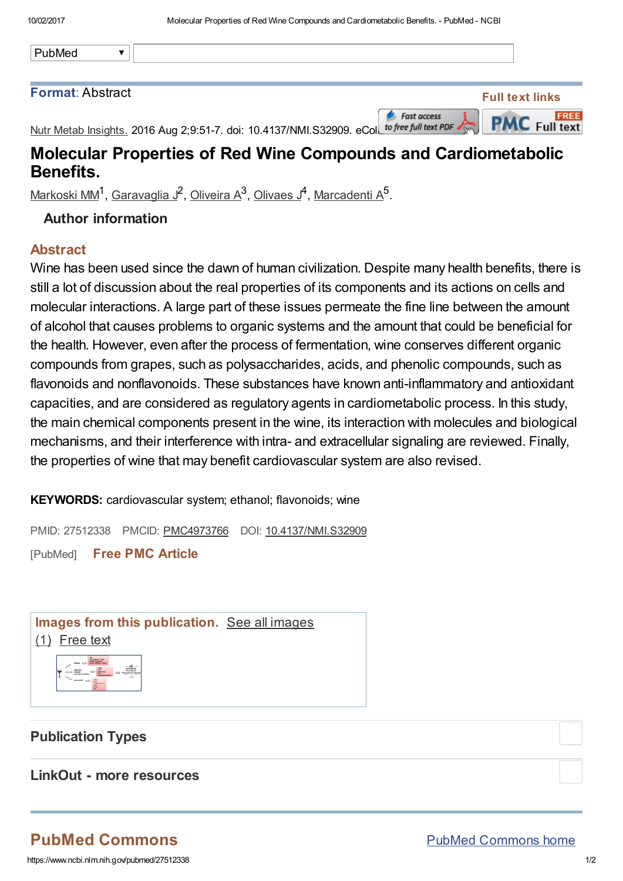| PubMed |  |
|--------|--|
|        |  |

#### Format: Abstract

**Fast access** 



Nutr Metab Insights. 2016 Aug 2;9:51-7. doi: 10.4137/NMI.S32909. eColl to free full text PDF

## Molecular Properties of Red Wine Compounds and Cardiometabolic Benefits.

[Markoski](https://www.ncbi.nlm.nih.gov/pubmed/?term=Markoski%20MM%5BAuthor%5D&cauthor=true&cauthor_uid=27512338) MM<sup>1</sup>, [Garavaglia](https://www.ncbi.nlm.nih.gov/pubmed/?term=Garavaglia%20J%5BAuthor%5D&cauthor=true&cauthor_uid=27512338) J<sup>2</sup>, [Oliveira](https://www.ncbi.nlm.nih.gov/pubmed/?term=Oliveira%20A%5BAuthor%5D&cauthor=true&cauthor_uid=27512338) A<sup>3</sup>, [Olivaes](https://www.ncbi.nlm.nih.gov/pubmed/?term=Olivaes%20J%5BAuthor%5D&cauthor=true&cauthor_uid=27512338) J<sup>4</sup>, [Marcadenti](https://www.ncbi.nlm.nih.gov/pubmed/?term=Marcadenti%20A%5BAuthor%5D&cauthor=true&cauthor_uid=27512338) A<sup>5</sup>.

### Author information

#### Abstract

Wine has been used since the dawn of human civilization. Despite many health benefits, there is still a lot of discussion about the real properties of its components and its actions on cells and molecular interactions. A large part of these issues permeate the fine line between the amount of alcohol that causes problems to organic systems and the amount that could be beneficial for the health. However, even after the process of fermentation, wine conserves different organic compounds from grapes, such as polysaccharides, acids, and phenolic compounds, such as flavonoids and nonflavonoids. These substances have known anti-inflammatory and antioxidant capacities, and are considered as regulatory agents in cardiometabolic process. In this study, the main chemical components present in the wine, its interaction with molecules and biological mechanisms, and their interference with intra- and extracellular signaling are reviewed. Finally, the properties of wine that may benefit cardiovascular system are also revised.

KEYWORDS: cardiovascular system; ethanol; flavonoids; wine

PMID: 27512338 PMCID: [PMC4973766](https://www.ncbi.nlm.nih.gov/pmc/articles/PMC4973766/) DOI: [10.4137/NMI.S32909](https://dx.doi.org/10.4137/NMI.S32909) [PubMed] Free PMC [Article](https://www.ncbi.nlm.nih.gov/pmc/articles/PMC4973766/)

Images from this [publication.](https://www.ncbi.nlm.nih.gov/pmc?term=27512338[PMID]&report=imagesdocsum) See all images (1) [Free](https://www.ncbi.nlm.nih.gov/pmc/articles/PMC4973766/) text



## Publication Types

LinkOut - more resources

# PubMed Commons

https://www.ncbi.nlm.nih.gov/pubmed/27512338 1/2

PubMed [Commons](https://www.ncbi.nlm.nih.gov/pubmedcommons/) home